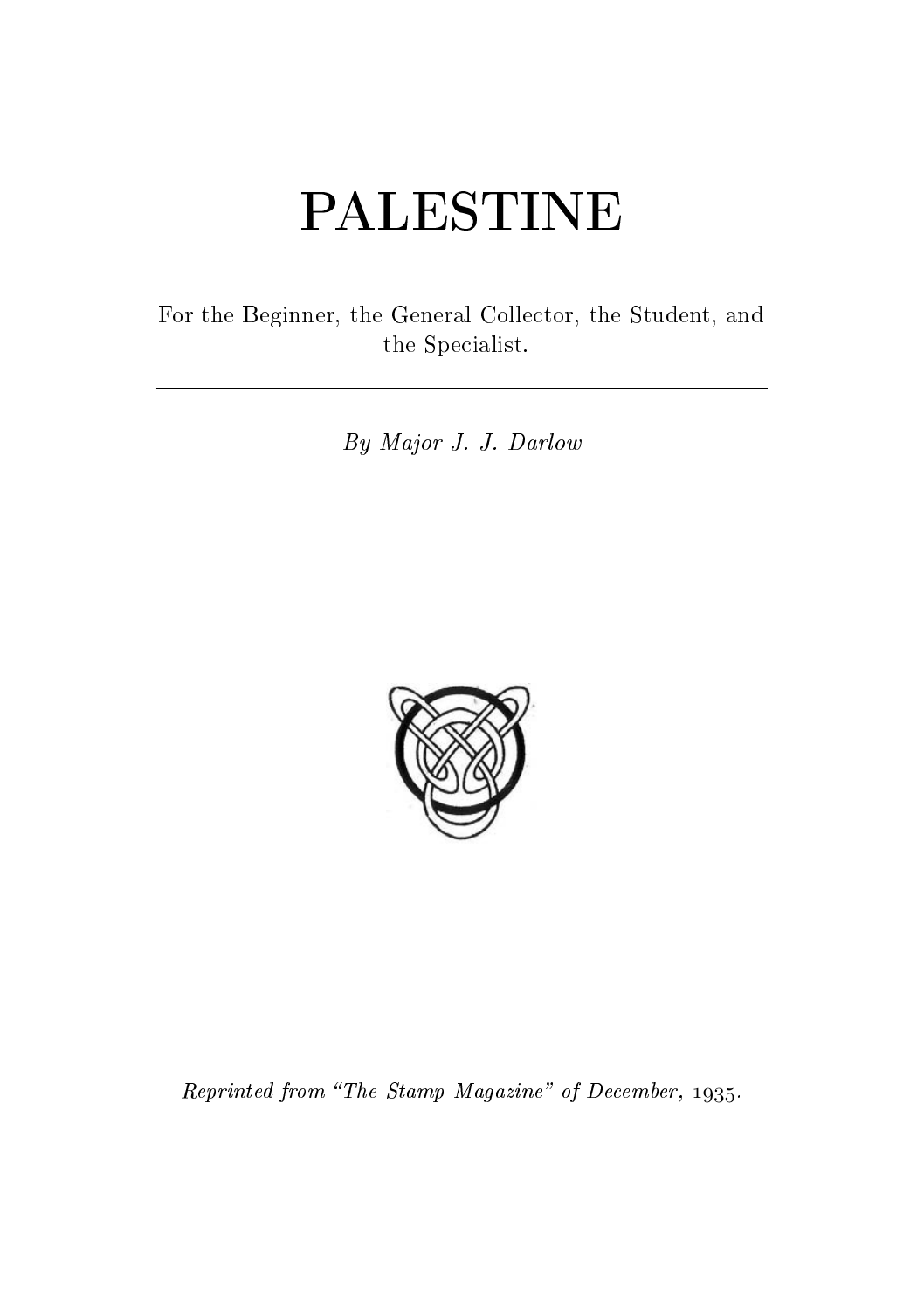# PALESTINE

For the Beginner, the General Collector, the Student, and the Specialist.

By Major J. J. Darlow



Reprinted from "The Stamp Magazine" of December,  $1935$ .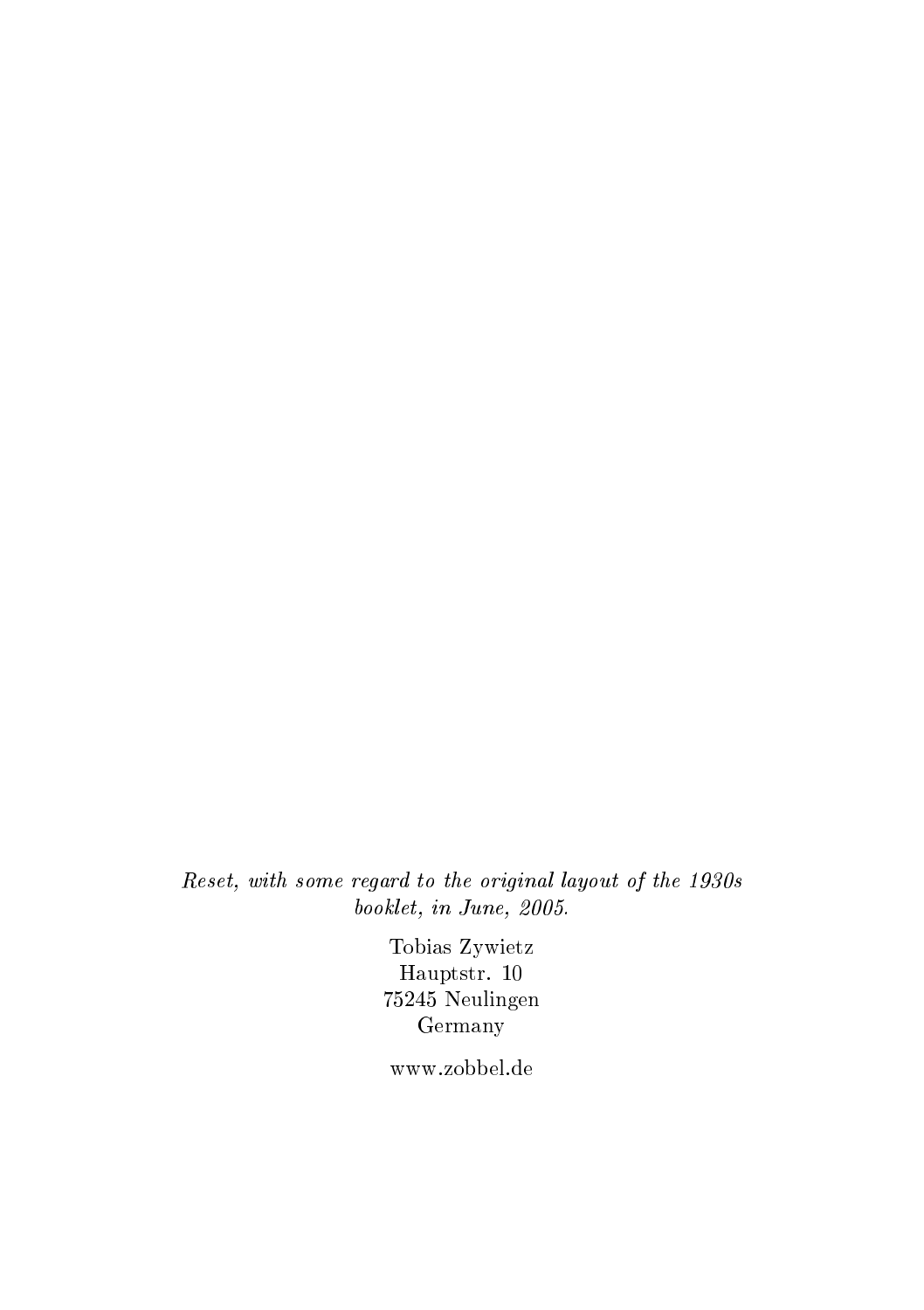Reset, with some regard to the original layout of the 1930s booklet, in June, 2005.

> Tobias Zywietz Hauptstr. 10 75245 Neulingen Germany

www.zobbel.de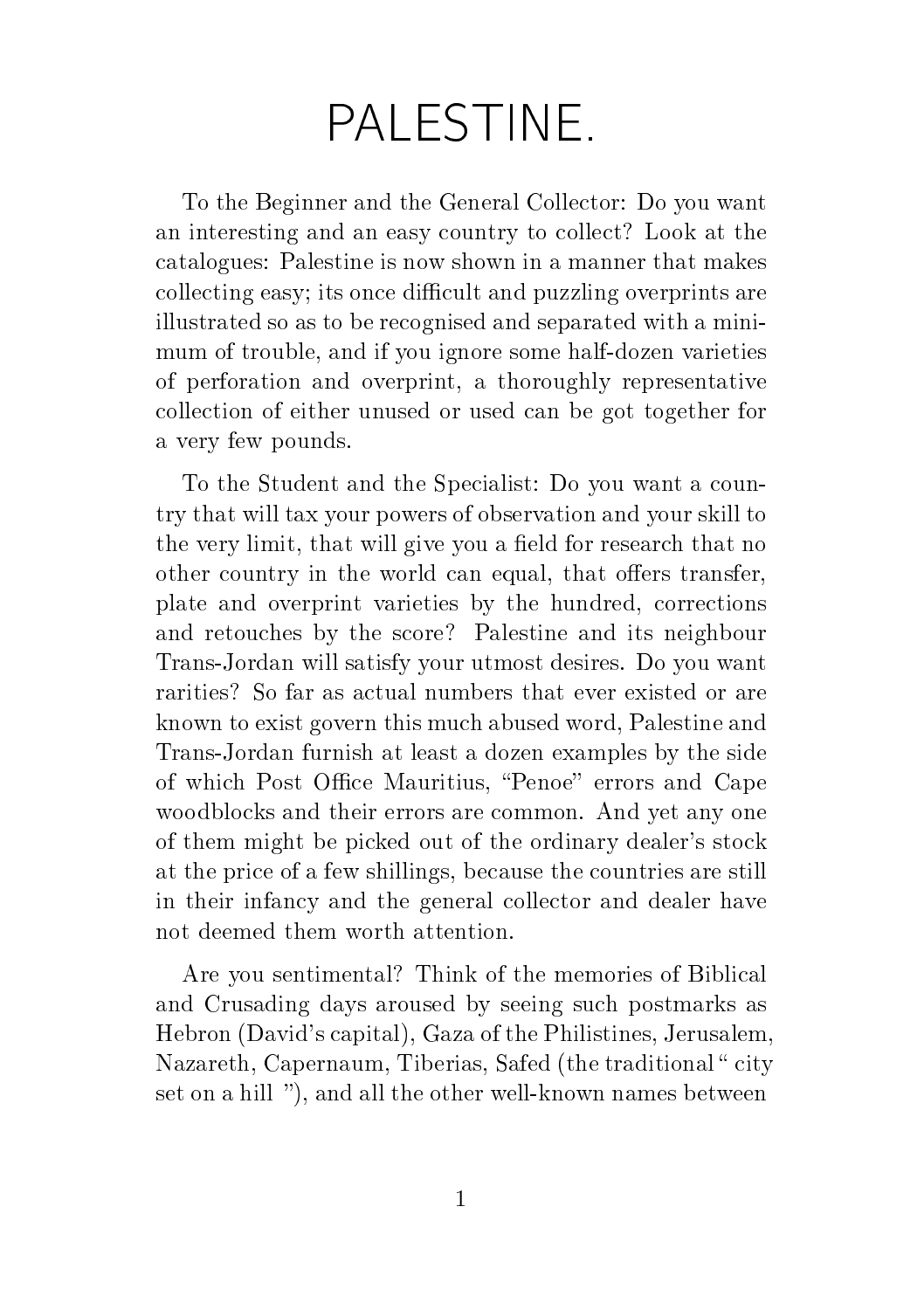## PALESTINE.

To the Beginner and the General Collector: Do you want an interesting and an easy country to collect? Look at the catalogues: Palestine is now shown in a manner that makes collecting easy; its once difficult and puzzling overprints are illustrated so as to be recognised and separated with a minimum of trouble, and if you ignore some half-dozen varieties of perforation and overprint, a thoroughly representative collection of either unused or used can be got together for a very few pounds.

To the Student and the Specialist: Do you want a country that will tax your powers of observation and your skill to the very limit, that will give you a field for research that no other country in the world can equal, that offers transfer, plate and overprint varieties by the hundred, corrections and retouches by the score? Palestine and its neighbour Trans-Jordan will satisfy your utmost desires. Do you want rarities? So far as actual numbers that ever existed or are known to exist govern this much abused word, Palestine and Trans-Jordan furnish at least a dozen examples by the side of which Post Office Mauritius, "Penoe" errors and Cape woodblocks and their errors are common. And yet any one of them might be picked out of the ordinary dealer's stock at the price of a few shillings, because the countries are still in their infancy and the general collector and dealer have not deemed them worth attention.

Are you sentimental? Think of the memories of Biblical and Crusading days aroused by seeing such postmarks as Hebron (David's capital), Gaza of the Philistines, Jerusalem, Nazareth, Capernaum, Tiberias, Safed (the traditional "city set on a hill "), and all the other well-known names between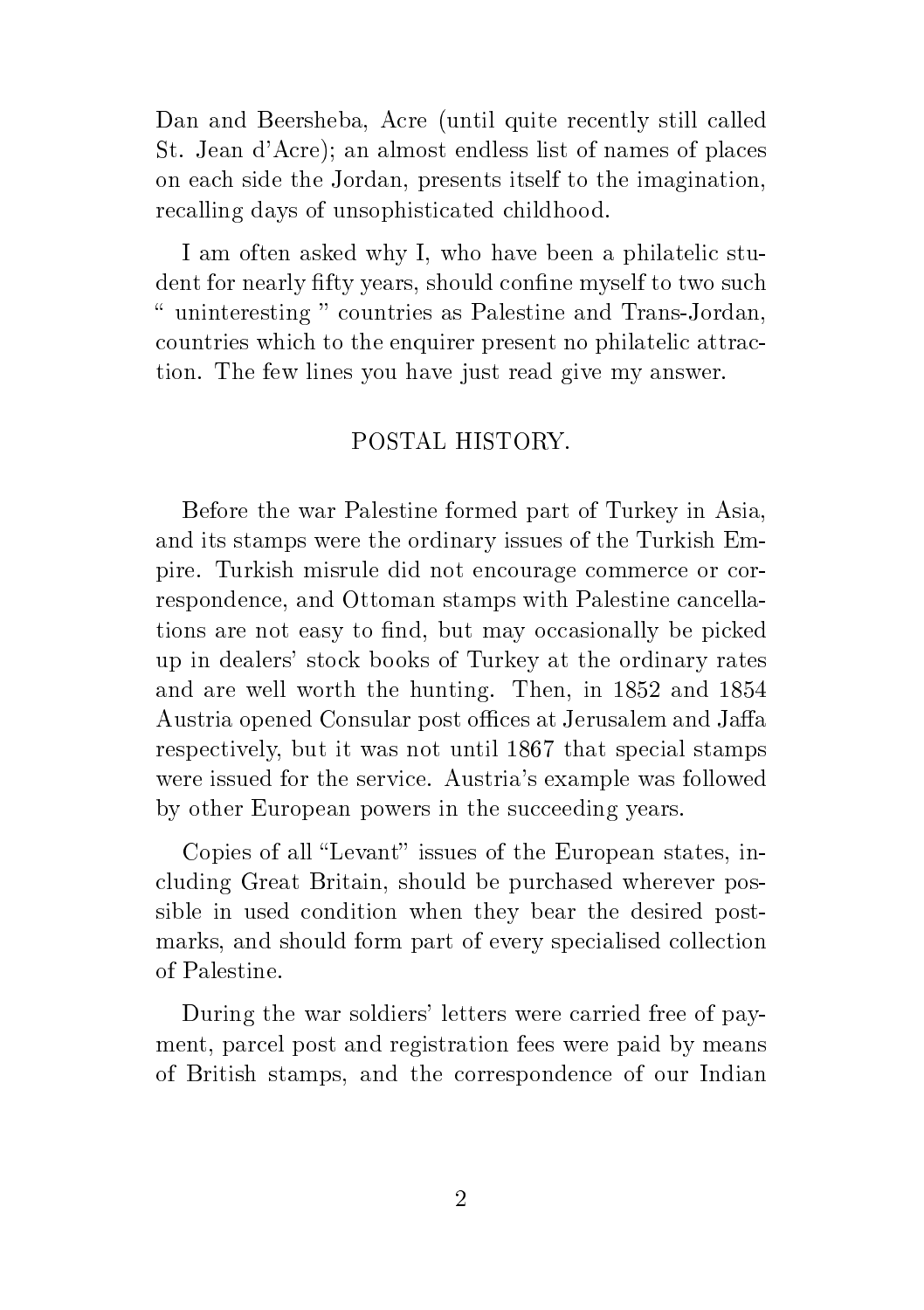Dan and Beersheba, Acre (until quite recently still called St. Jean d'Acre); an almost endless list of names of places on each side the Jordan, presents itself to the imagination, recalling days of unsophisticated childhood.

I am often asked why I, who have been a philatelic student for nearly fifty years, should confine myself to two such " uninteresting " countries as Palestine and Trans-Jordan, countries which to the enquirer present no philatelic attraction. The few lines you have just read give my answer.

#### POSTAL HISTORY.

Before the war Palestine formed part of Turkey in Asia, and its stamps were the ordinary issues of the Turkish Empire. Turkish misrule did not encourage commerce or correspondence, and Ottoman stamps with Palestine cancellations are not easy to find, but may occasionally be picked up in dealers' stock books of Turkey at the ordinary rates and are well worth the hunting. Then, in 1852 and 1854 Austria opened Consular post offices at Jerusalem and Jaffa respectively, but it was not until 1867 that special stamps were issued for the service. Austria's example was followed by other European powers in the succeeding years.

Copies of all "Levant" issues of the European states, including Great Britain, should be purchased wherever possible in used condition when they bear the desired postmarks, and should form part of every specialised collection of Palestine.

During the war soldiers' letters were carried free of payment, parcel post and registration fees were paid by means of British stamps, and the correspondence of our Indian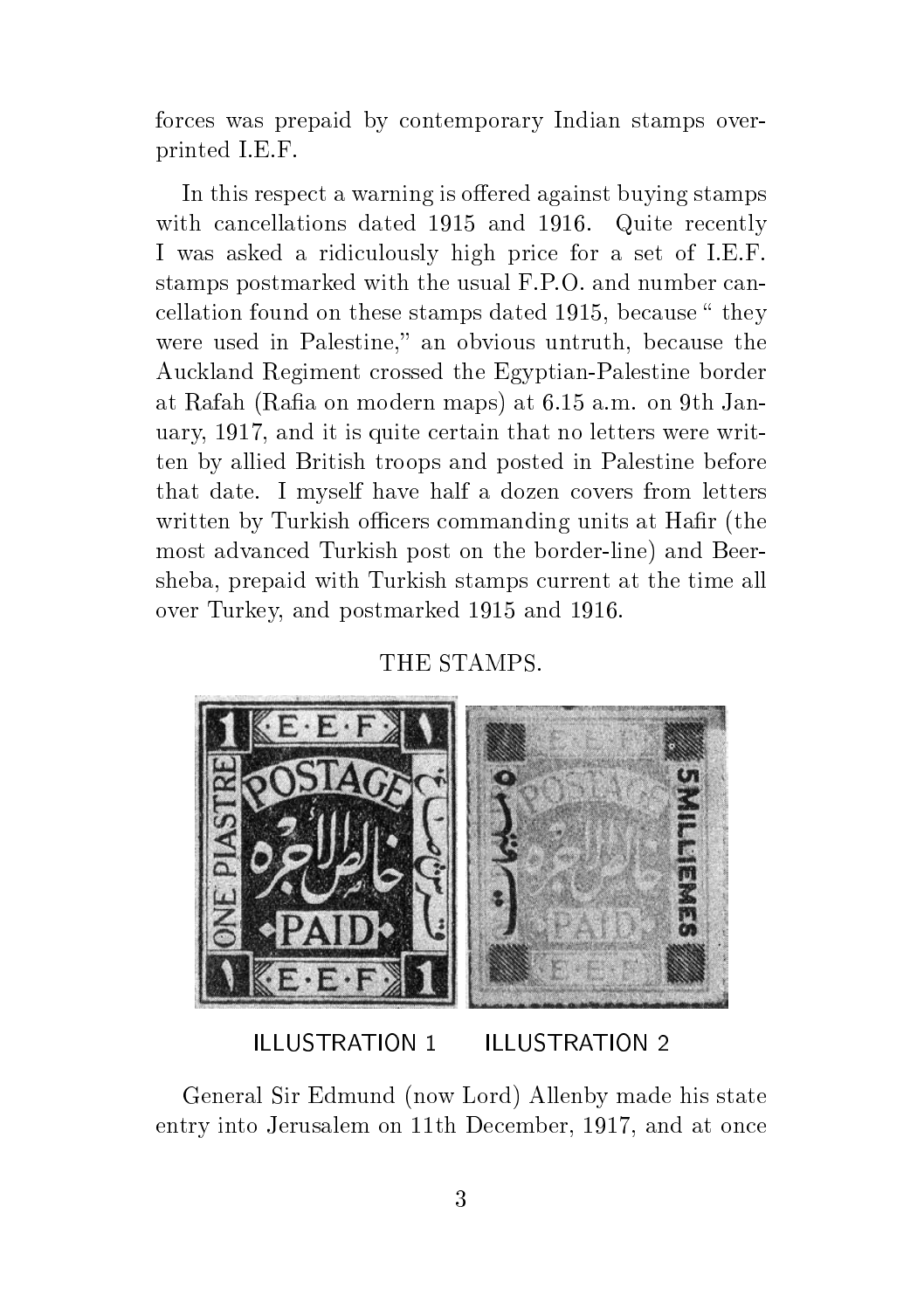forces was prepaid by contemporary Indian stamps overprinted I.E.F.

In this respect a warning is offered against buying stamps with cancellations dated 1915 and 1916. Quite recently I was asked a ridiculously high price for a set of I.E.F. stamps postmarked with the usual F.P.O. and number cancellation found on these stamps dated 1915, because " they were used in Palestine," an obvious untruth, because the Auckland Regiment crossed the Egyptian-Palestine border at Rafah (Rafia on modern maps) at 6.15 a.m. on 9th January, 1917, and it is quite certain that no letters were written by allied British troops and posted in Palestine before that date. I myself have half a dozen covers from letters written by Turkish officers commanding units at Hafir (the most advanced Turkish post on the border-line) and Beersheba, prepaid with Turkish stamps current at the time all over Turkey, and postmarked 1915 and 1916.

#### THE STAMPS.



#### ILLUSTRATION 1 ILLUSTRATION 2

General Sir Edmund (now Lord) Allenby made his state entry into Jerusalem on 11th December, 1917, and at once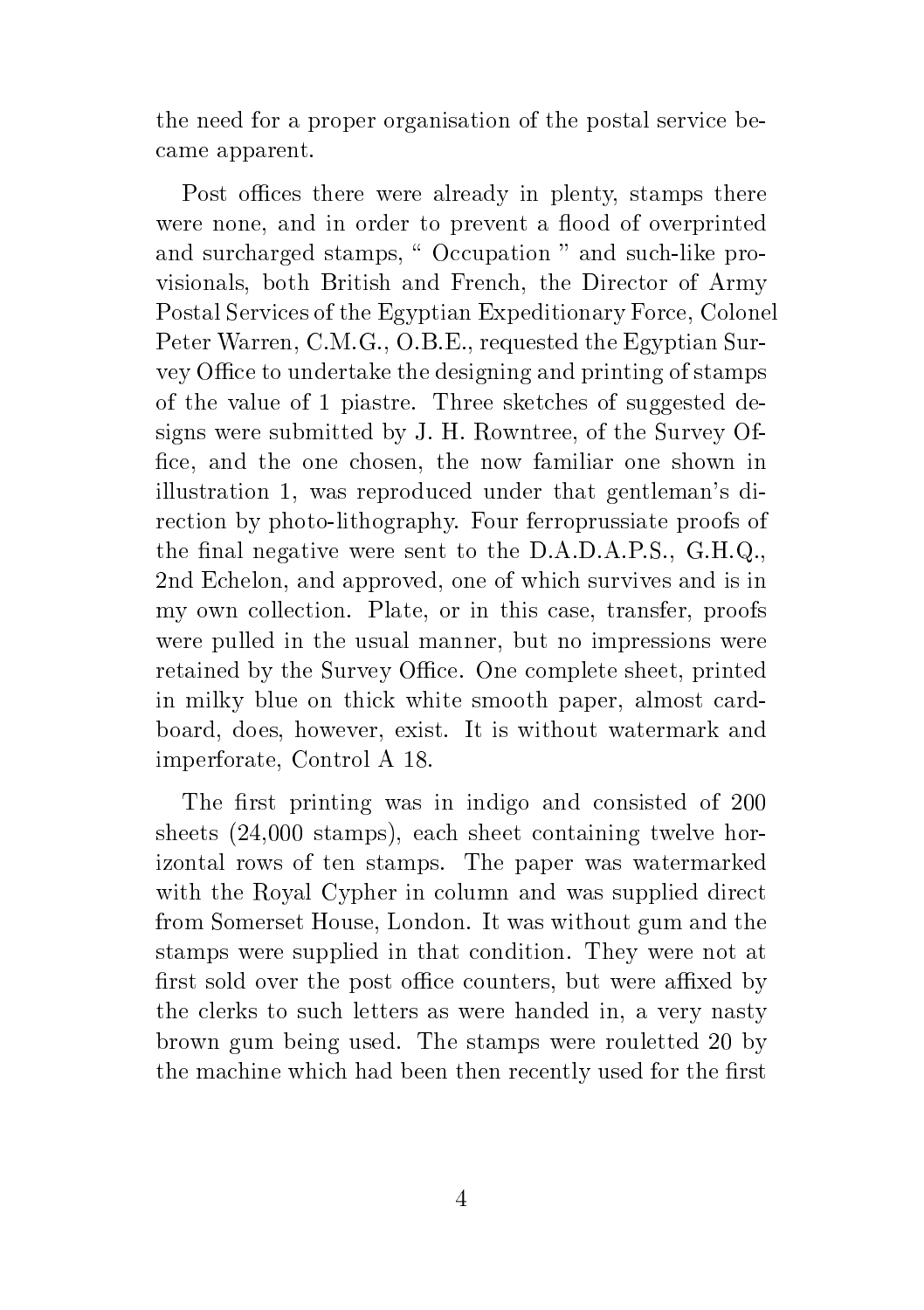the need for a proper organisation of the postal service became apparent.

Post offices there were already in plenty, stamps there were none, and in order to prevent a flood of overprinted and surcharged stamps, " Occupation " and such-like provisionals, both British and French, the Director of Army Postal Services of the Egyptian Expeditionary Force, Colonel Peter Warren, C.M.G., O.B.E., requested the Egyptian Survey Office to undertake the designing and printing of stamps of the value of 1 piastre. Three sketches of suggested designs were submitted by J. H. Rowntree, of the Survey Of fice, and the one chosen, the now familiar one shown in illustration 1, was reproduced under that gentleman's direction by photo-lithography. Four ferroprussiate proofs of the final negative were sent to the  $D.A.D.A.P.S., G.H.Q.,$ 2nd Echelon, and approved, one of which survives and is in my own collection. Plate, or in this case, transfer, proofs were pulled in the usual manner, but no impressions were retained by the Survey Office. One complete sheet, printed in milky blue on thick white smooth paper, almost cardboard, does, however, exist. It is without watermark and imperforate, Control A 18.

The first printing was in indigo and consisted of 200 sheets (24,000 stamps), each sheet containing twelve horizontal rows of ten stamps. The paper was watermarked with the Royal Cypher in column and was supplied direct from Somerset House, London. It was without gum and the stamps were supplied in that condition. They were not at first sold over the post office counters, but were affixed by the clerks to such letters as were handed in, a very nasty brown gum being used. The stamps were rouletted 20 by the machine which had been then recently used for the first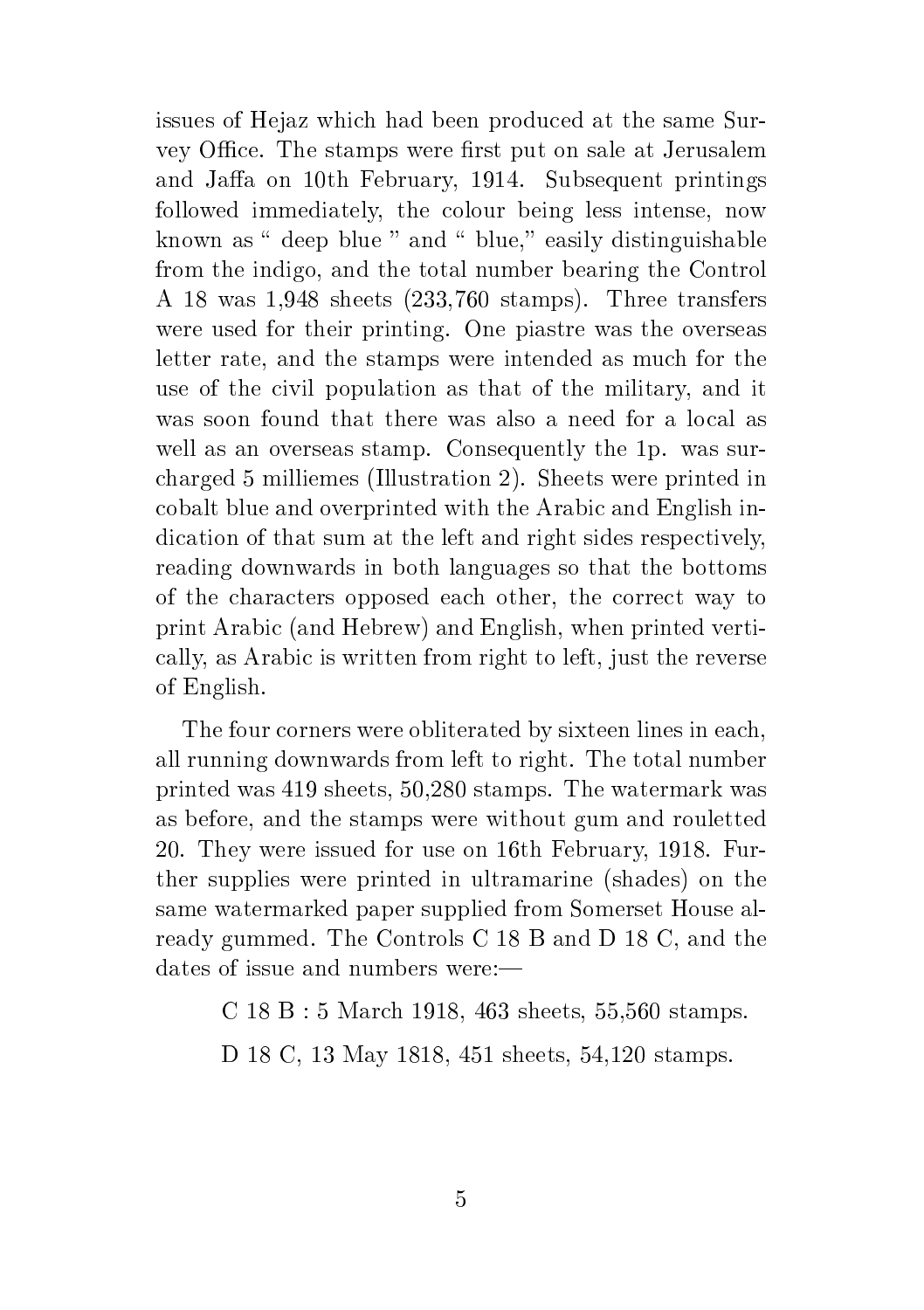issues of Hejaz which had been produced at the same Survey Office. The stamps were first put on sale at Jerusalem and Jaffa on 10th February, 1914. Subsequent printings followed immediately, the colour being less intense, now known as  $\degree$  deep blue  $\degree$  and  $\degree$  blue," easily distinguishable from the indigo, and the total number bearing the Control A 18 was 1,948 sheets (233,760 stamps). Three transfers were used for their printing. One piastre was the overseas letter rate, and the stamps were intended as much for the use of the civil population as that of the military, and it was soon found that there was also a need for a local as well as an overseas stamp. Consequently the 1p. was surcharged 5 milliemes (Illustration 2). Sheets were printed in cobalt blue and overprinted with the Arabic and English indication of that sum at the left and right sides respectively, reading downwards in both languages so that the bottoms of the characters opposed each other, the correct way to print Arabic (and Hebrew) and English, when printed vertically, as Arabic is written from right to left, just the reverse of English.

The four corners were obliterated by sixteen lines in each, all running downwards from left to right. The total number printed was 419 sheets, 50,280 stamps. The watermark was as before, and the stamps were without gum and rouletted 20. They were issued for use on 16th February, 1918. Further supplies were printed in ultramarine (shades) on the same watermarked paper supplied from Somerset House already gummed. The Controls C 18 B and D 18 C, and the dates of issue and numbers were:

C 18 B : 5 March 1918, 463 sheets, 55,560 stamps.

D 18 C, 13 May 1818, 451 sheets, 54,120 stamps.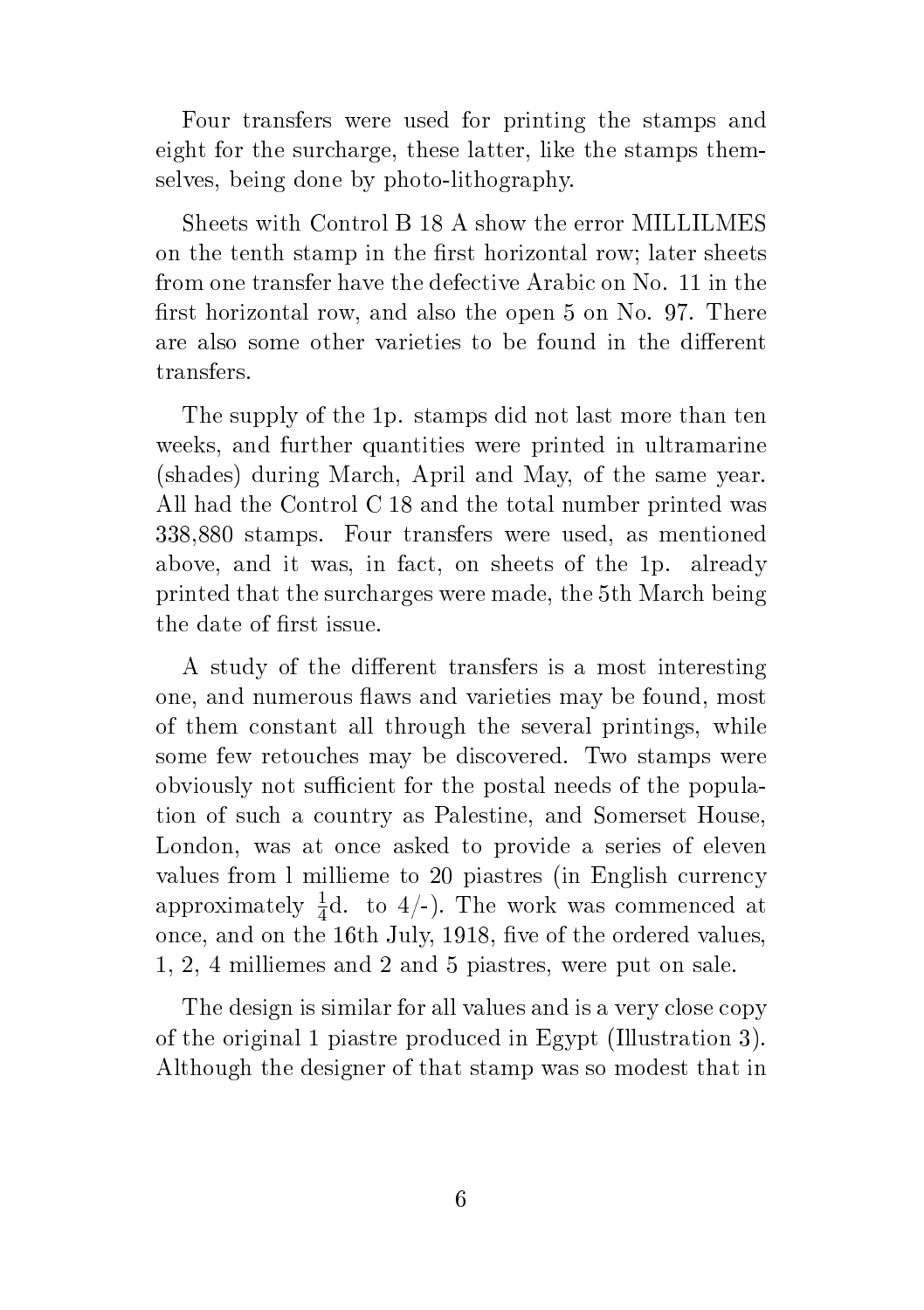Four transfers were used for printing the stamps and eight for the surcharge, these latter, like the stamps themselves, being done by photo-lithography.

Sheets with Control B 18 A show the error MILLILMES on the tenth stamp in the first horizontal row; later sheets from one transfer have the defective Arabic on No. 11 in the first horizontal row, and also the open 5 on No. 97. There are also some other varieties to be found in the different transfers.

The supply of the 1p. stamps did not last more than ten weeks, and further quantities were printed in ultramarine (shades) during March, April and May, of the same year. All had the Control C 18 and the total number printed was 338,880 stamps. Four transfers were used, as mentioned above, and it was, in fact, on sheets of the 1p. already printed that the surcharges were made, the 5th March being the date of first issue.

A study of the different transfers is a most interesting one, and numerous flaws and varieties may be found, most of them constant all through the several printings, while some few retouches may be discovered. Two stamps were obviously not sufficient for the postal needs of the population of such a country as Palestine, and Somerset House, London, was at once asked to provide a series of eleven values from l millieme to 20 piastres (in English currency approximately  $\frac{1}{4}d$ . to 4/-). The work was commenced at once, and on the 16th July, 1918, five of the ordered values, 1, 2, 4 milliemes and 2 and 5 piastres, were put on sale.

The design is similar for all values and is a very close copy of the original 1 piastre produced in Egypt (Illustration 3). Although the designer of that stamp was so modest that in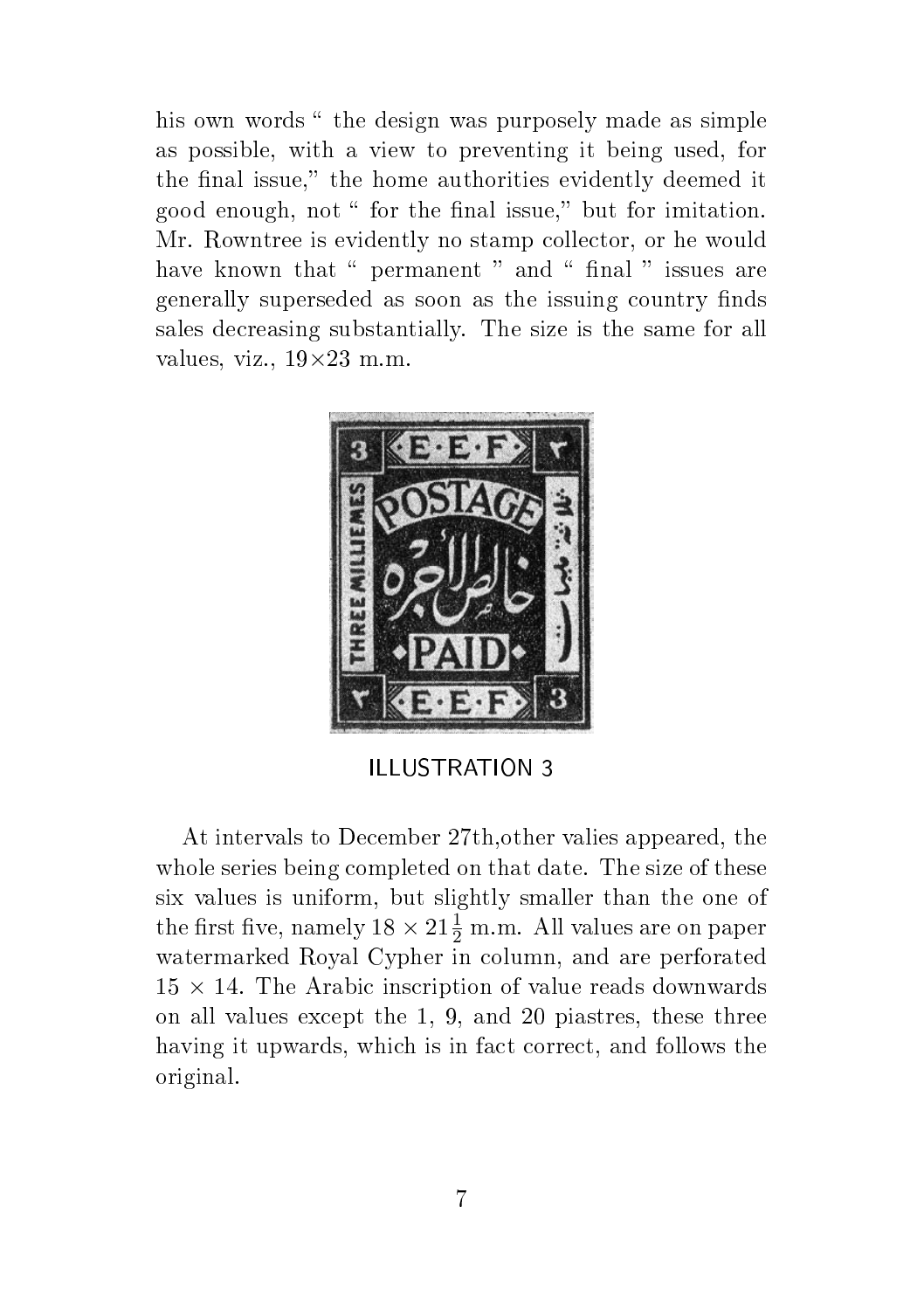his own words " the design was purposely made as simple as possible, with a view to preventing it being used, for the final issue," the home authorities evidently deemed it good enough, not " for the final issue," but for imitation. Mr. Rowntree is evidently no stamp collector, or he would have known that " permanent " and " final " issues are generally superseded as soon as the issuing country finds sales decreasing substantially. The size is the same for all values, viz.,  $19\times23$  m.m.



ILLUSTRATION 3

At intervals to December 27th,other valies appeared, the whole series being completed on that date. The size of these six values is uniform, but slightly smaller than the one of the first five, namely  $18 \times 21\frac{1}{2}$  m.m. All values are on paper watermarked Royal Cypher in column, and are perforated  $15 \times 14$ . The Arabic inscription of value reads downwards on all values except the 1, 9, and 20 piastres, these three having it upwards, which is in fact correct, and follows the original.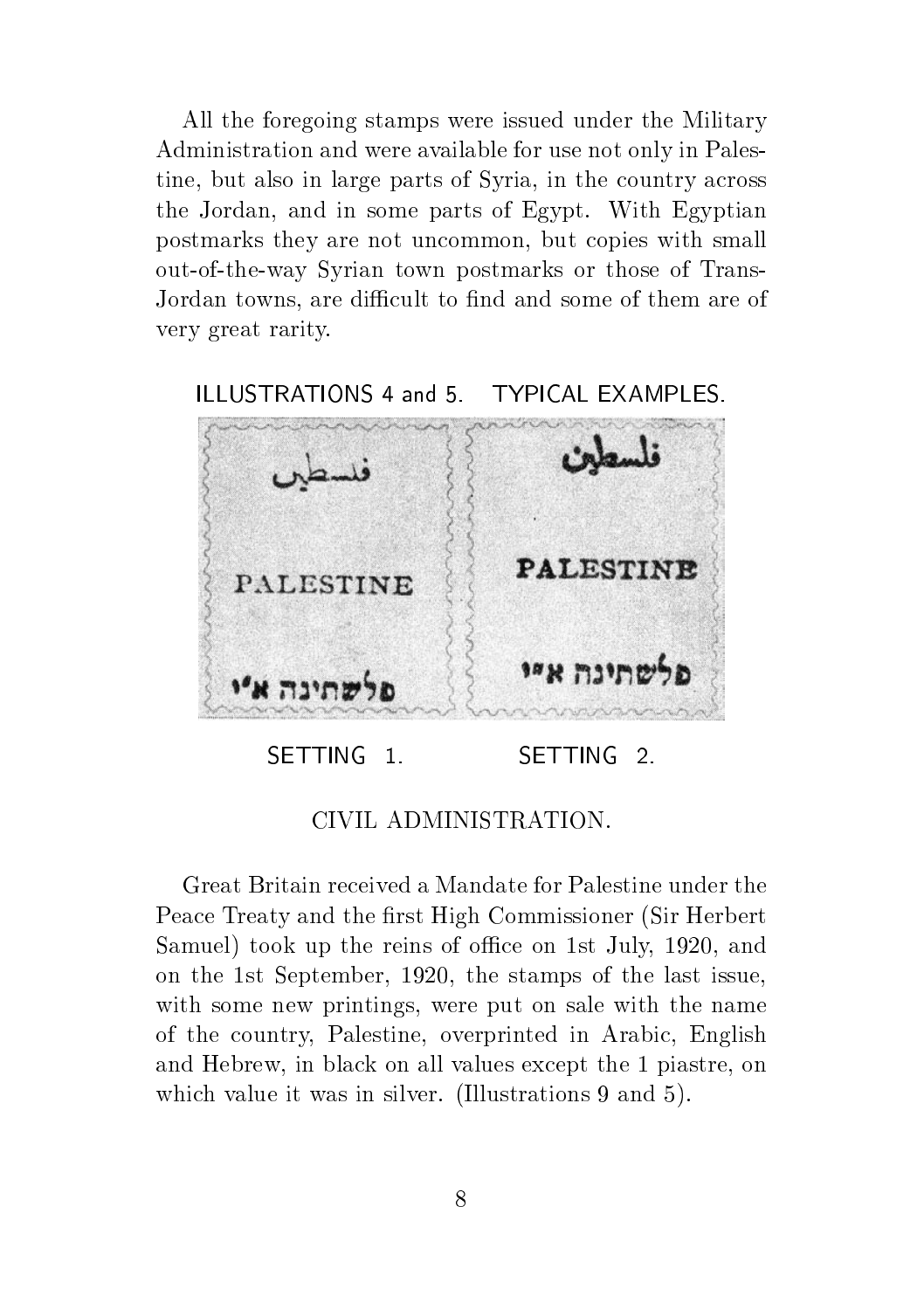All the foregoing stamps were issued under the Military Administration and were available for use not only in Palestine, but also in large parts of Syria, in the country across the Jordan, and in some parts of Egypt. With Egyptian postmarks they are not uncommon, but copies with small out-of-the-way Syrian town postmarks or those of Trans-Jordan towns, are difficult to find and some of them are of very great rarity.

ILLUSTRATIONS 4 and 5. TYPICAL EXAMPLES.



CIVIL ADMINISTRATION.

Great Britain received a Mandate for Palestine under the Peace Treaty and the first High Commissioner (Sir Herbert) Samuel) took up the reins of office on 1st July, 1920, and on the 1st September, 1920, the stamps of the last issue, with some new printings, were put on sale with the name of the country, Palestine, overprinted in Arabic, English and Hebrew, in black on all values except the 1 piastre, on which value it was in silver. (Illustrations 9 and 5).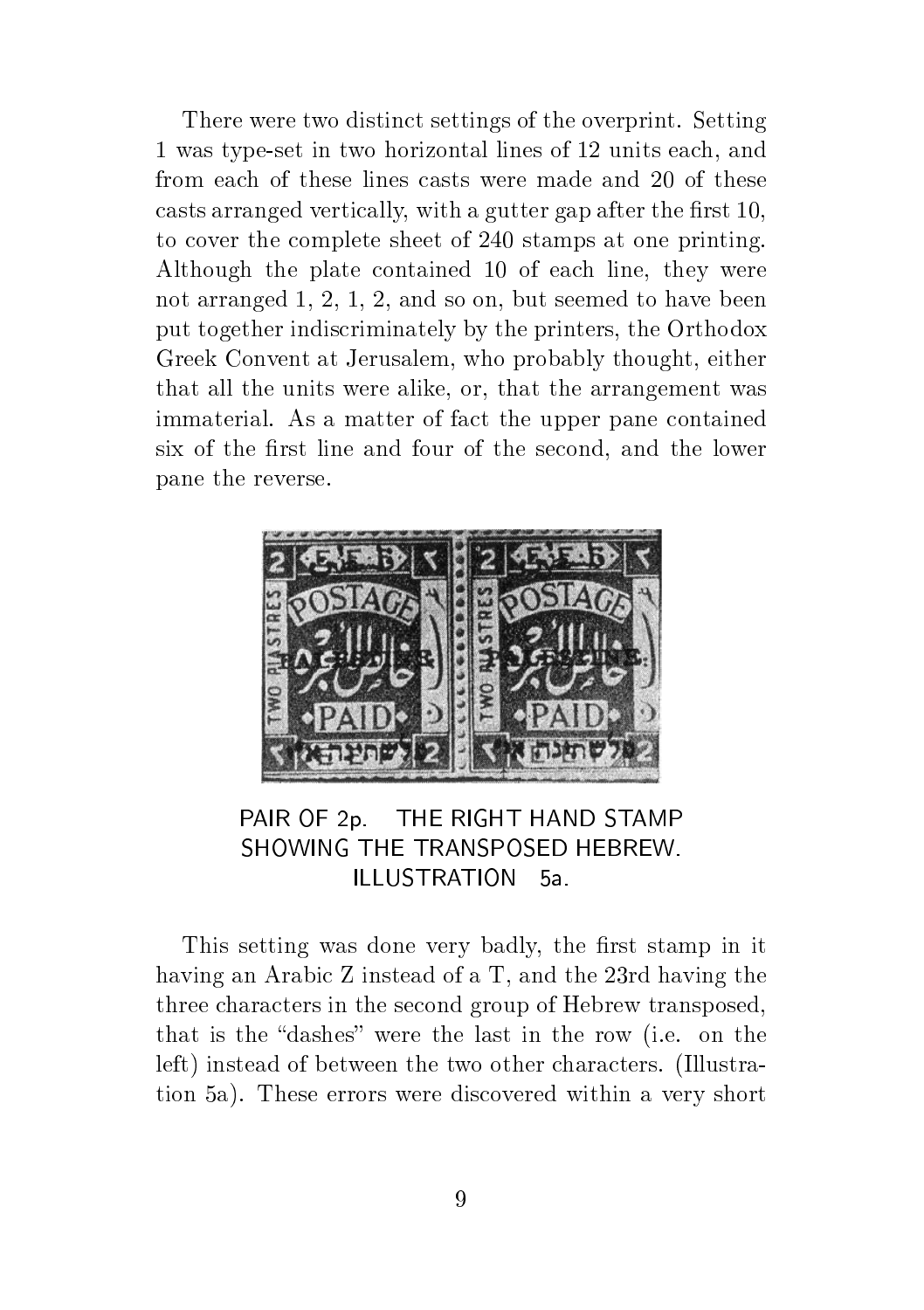There were two distinct settings of the overprint. Setting 1 was type-set in two horizontal lines of 12 units each, and from each of these lines casts were made and 20 of these casts arranged vertically, with a gutter gap after the first 10. to cover the complete sheet of 240 stamps at one printing. Although the plate contained 10 of each line, they were not arranged 1, 2, 1, 2, and so on, but seemed to have been put together indiscriminately by the printers, the Orthodox Greek Convent at Jerusalem, who probably thought, either that all the units were alike, or, that the arrangement was immaterial. As a matter of fact the upper pane contained six of the first line and four of the second, and the lower pane the reverse.



PAIR OF 2p. THE RIGHT HAND STAMP SHOWING THE TRANSPOSED HEBREW. ILLUSTRATION 5a.

This setting was done very badly, the first stamp in it having an Arabic Z instead of a T, and the 23rd having the three characters in the second group of Hebrew transposed, that is the "dashes" were the last in the row (i.e. on the left) instead of between the two other characters. (Illustration 5a). These errors were discovered within a very short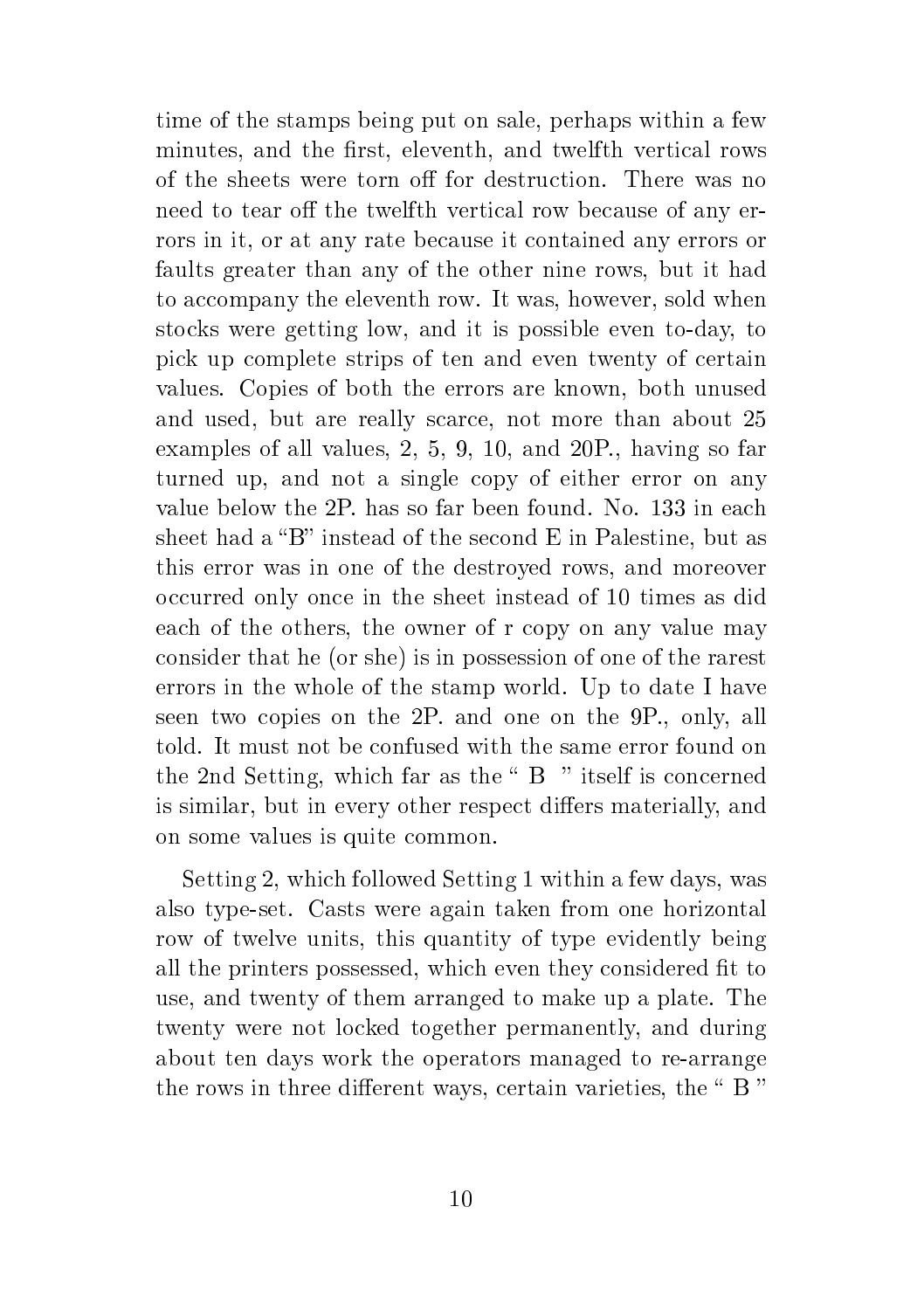time of the stamps being put on sale, perhaps within a few minutes, and the first, eleventh, and twelfth vertical rows of the sheets were torn off for destruction. There was no need to tear off the twelfth vertical row because of any errors in it, or at any rate because it contained any errors or faults greater than any of the other nine rows, but it had to accompany the eleventh row. It was, however, sold when stocks were getting low, and it is possible even to-day, to pick up complete strips of ten and even twenty of certain values. Copies of both the errors are known, both unused and used, but are really scarce, not more than about 25 examples of all values, 2, 5, 9, 10, and 20P., having so far turned up, and not a single copy of either error on any value below the 2P. has so far been found. No. 133 in each sheet had a "B" instead of the second  $E$  in Palestine, but as this error was in one of the destroyed rows, and moreover occurred only once in the sheet instead of 10 times as did each of the others, the owner of r copy on any value may consider that he (or she) is in possession of one of the rarest errors in the whole of the stamp world. Up to date I have seen two copies on the 2P. and one on the 9P., only, all told. It must not be confused with the same error found on the 2nd Setting, which far as the  $B$  " itself is concerned is similar, but in every other respect differs materially, and on some values is quite common.

Setting 2, which followed Setting 1 within a few days, was also type-set. Casts were again taken from one horizontal row of twelve units, this quantity of type evidently being all the printers possessed, which even they considered fit to use, and twenty of them arranged to make up a plate. The twenty were not locked together permanently, and during about ten days work the operators managed to re-arrange the rows in three different ways, certain varieties, the " B "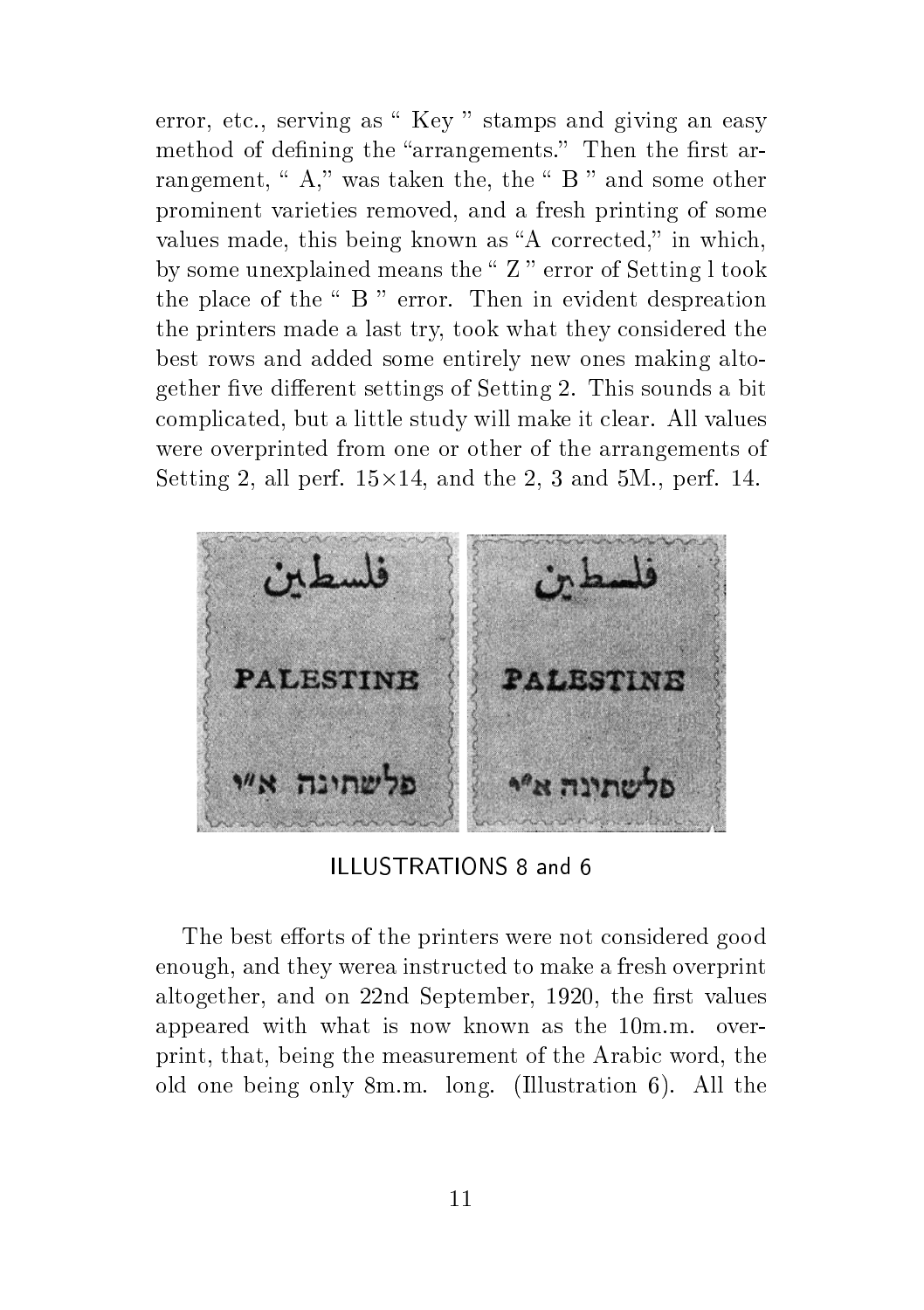error, etc., serving as " Key " stamps and giving an easy method of defining the "arrangements." Then the first arrangement, " $A$ ," was taken the, the " $B$ " and some other prominent varieties removed, and a fresh printing of some values made, this being known as "A corrected," in which, by some unexplained means the  $Z$  " error of Setting l took the place of the  $\degree$  B  $\degree$  error. Then in evident despreation the printers made a last try, took what they considered the best rows and added some entirely new ones making altogether five different settings of Setting 2. This sounds a bit complicated, but a little study will make it clear. All values were overprinted from one or other of the arrangements of Setting 2, all perf.  $15 \times 14$ , and the 2, 3 and 5M., perf. 14.



ILLUSTRATIONS 8 and 6

The best efforts of the printers were not considered good enough, and they werea instructed to make a fresh overprint altogether, and on 22nd September, 1920, the first values appeared with what is now known as the 10m.m. overprint, that, being the measurement of the Arabic word, the old one being only 8m.m. long. (Illustration 6). All the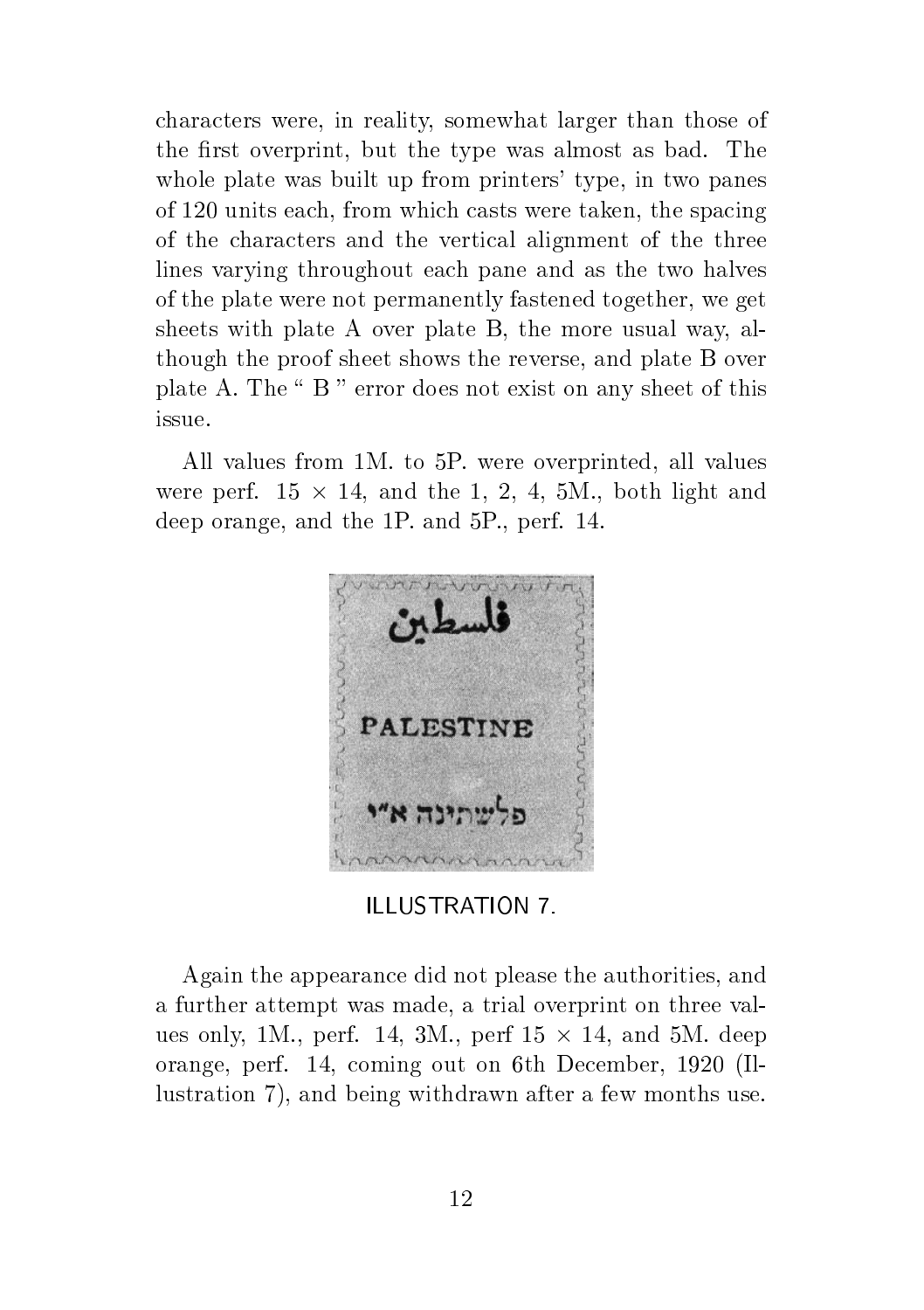characters were, in reality, somewhat larger than those of the first overprint, but the type was almost as bad. The whole plate was built up from printers' type, in two panes of 120 units each, from which casts were taken, the spacing of the characters and the vertical alignment of the three lines varying throughout each pane and as the two halves of the plate were not permanently fastened together, we get sheets with plate A over plate B, the more usual way, although the proof sheet shows the reverse, and plate B over plate A. The " B " error does not exist on any sheet of this issue.

All values from 1M. to 5P. were overprinted, all values were perf.  $15 \times 14$ , and the 1, 2, 4, 5M., both light and deep orange, and the 1P. and 5P., perf. 14.



ILLUSTRATION 7.

Again the appearance did not please the authorities, and a further attempt was made, a trial overprint on three values only, 1M., perf. 14, 3M., perf  $15 \times 14$ , and 5M. deep orange, perf. 14, coming out on 6th December, 1920 (Illustration 7), and being withdrawn after a few months use.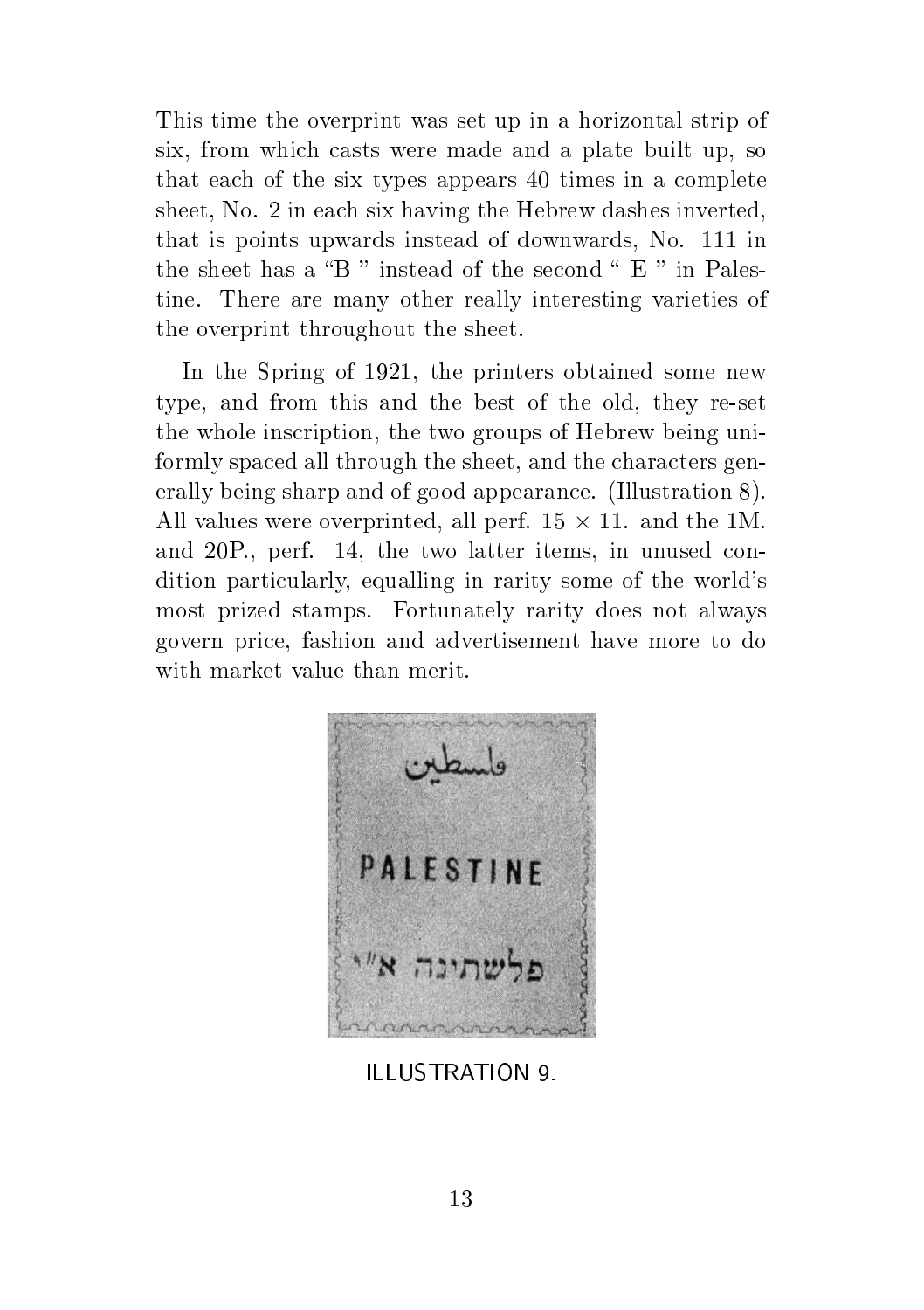This time the overprint was set up in a horizontal strip of six, from which casts were made and a plate built up, so that each of the six types appears 40 times in a complete sheet, No. 2 in each six having the Hebrew dashes inverted, that is points upwards instead of downwards, No. 111 in the sheet has a "B" instead of the second "  $E$ " in Palestine. There are many other really interesting varieties of the overprint throughout the sheet.

In the Spring of 1921, the printers obtained some new type, and from this and the best of the old, they re-set the whole inscription, the two groups of Hebrew being uniformly spaced all through the sheet, and the characters generally being sharp and of good appearance. (Illustration 8). All values were overprinted, all perf.  $15 \times 11$ . and the 1M. and 20P., perf. 14, the two latter items, in unused condition particularly, equalling in rarity some of the world's most prized stamps. Fortunately rarity does not always govern price, fashion and advertisement have more to do with market value than merit.



ILLUSTRATION 9.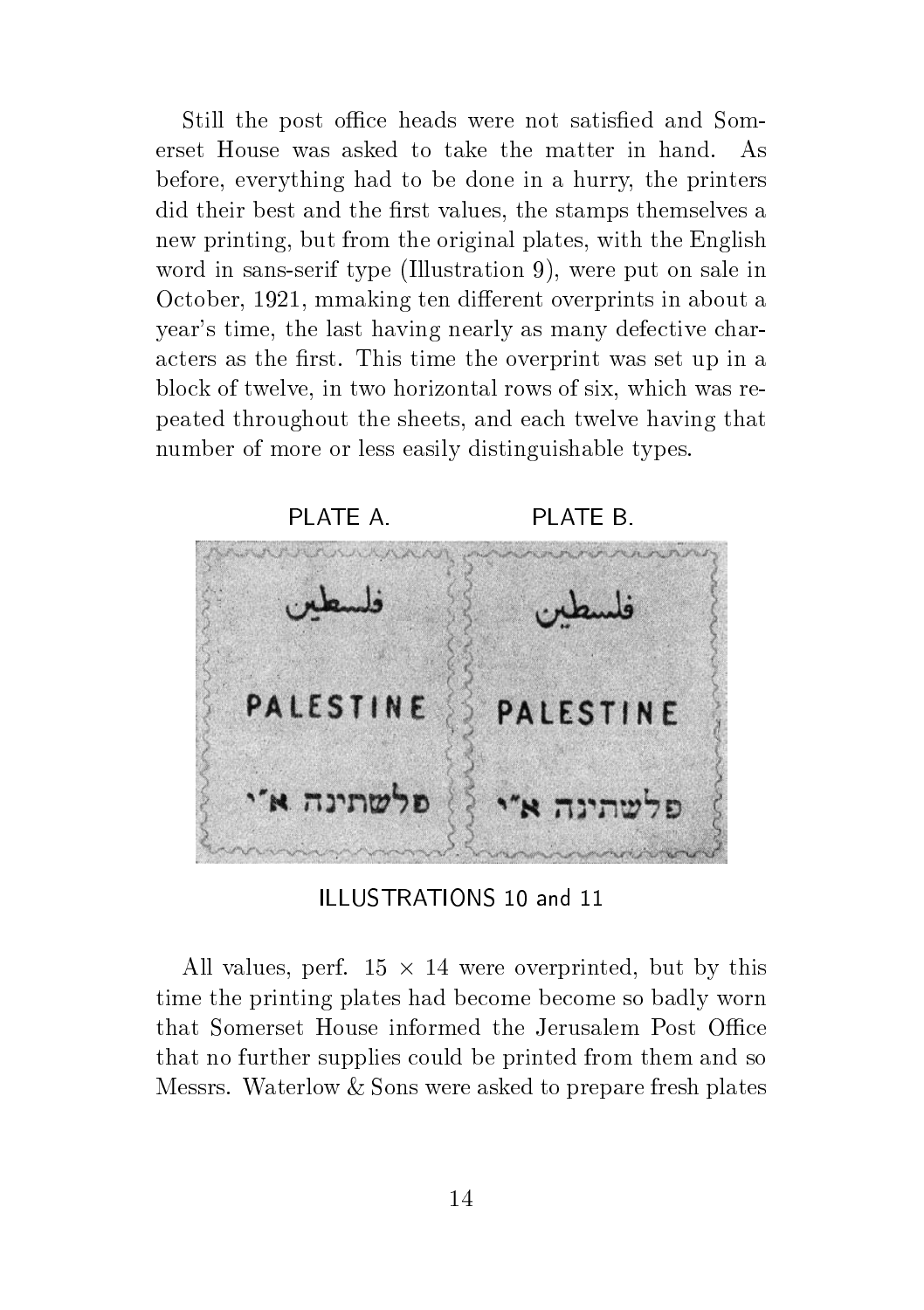Still the post office heads were not satisfied and Somerset House was asked to take the matter in hand. As before, everything had to be done in a hurry, the printers did their best and the first values, the stamps themselves a new printing, but from the original plates, with the English word in sans-serif type (Illustration 9), were put on sale in October, 1921, mmaking ten different overprints in about a year's time, the last having nearly as many defective characters as the first. This time the overprint was set up in a block of twelve, in two horizontal rows of six, which was repeated throughout the sheets, and each twelve having that number of more or less easily distinguishable types.



ILLUSTRATIONS 10 and 11

All values, perf.  $15 \times 14$  were overprinted, but by this time the printing plates had become become so badly worn that Somerset House informed the Jerusalem Post Office that no further supplies could be printed from them and so Messrs. Waterlow & Sons were asked to prepare fresh plates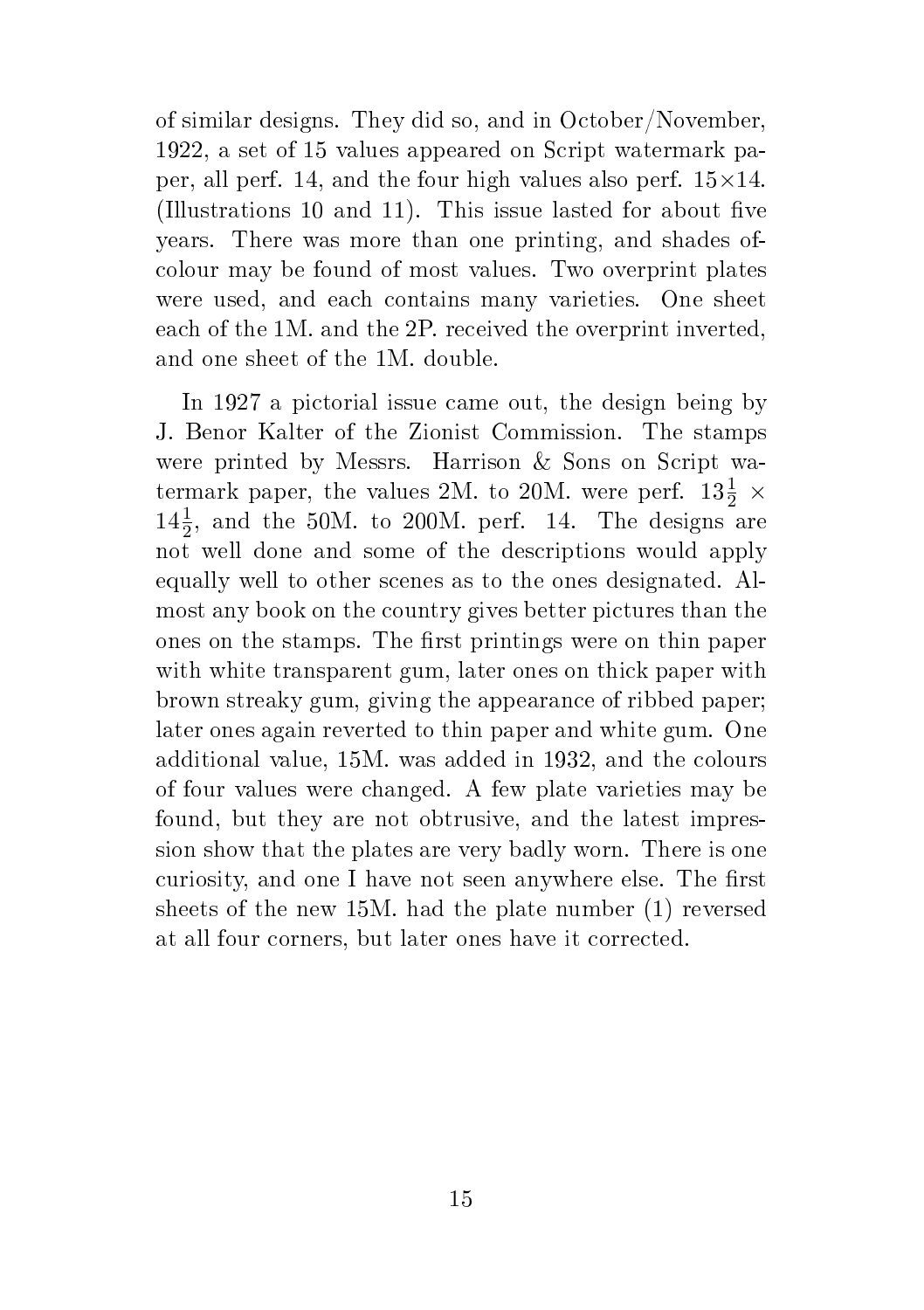of similar designs. They did so, and in October/November, 1922, a set of 15 values appeared on Script watermark paper, all perf. 14, and the four high values also perf.  $15\times14$ . (Illustrations 10 and 11). This issue lasted for about five years. There was more than one printing, and shades ofcolour may be found of most values. Two overprint plates were used, and each contains many varieties. One sheet each of the 1M. and the 2P. received the overprint inverted, and one sheet of the 1M. double.

In 1927 a pictorial issue came out, the design being by J. Benor Kalter of the Zionist Commission. The stamps were printed by Messrs. Harrison & Sons on Script watermark paper, the values 2M. to 20M. were perf.  $13\frac{1}{2}$   $\times$  $14\frac{1}{2}$ , and the 50M. to 200M. perf. 14. The designs are not well done and some of the descriptions would apply equally well to other scenes as to the ones designated. Almost any book on the country gives better pictures than the ones on the stamps. The first printings were on thin paper with white transparent gum, later ones on thick paper with brown streaky gum, giving the appearance of ribbed paper; later ones again reverted to thin paper and white gum. One additional value, 15M. was added in 1932, and the colours of four values were changed. A few plate varieties may be found, but they are not obtrusive, and the latest impression show that the plates are very badly worn. There is one curiosity, and one I have not seen anywhere else. The first sheets of the new 15M. had the plate number (1) reversed at all four corners, but later ones have it corrected.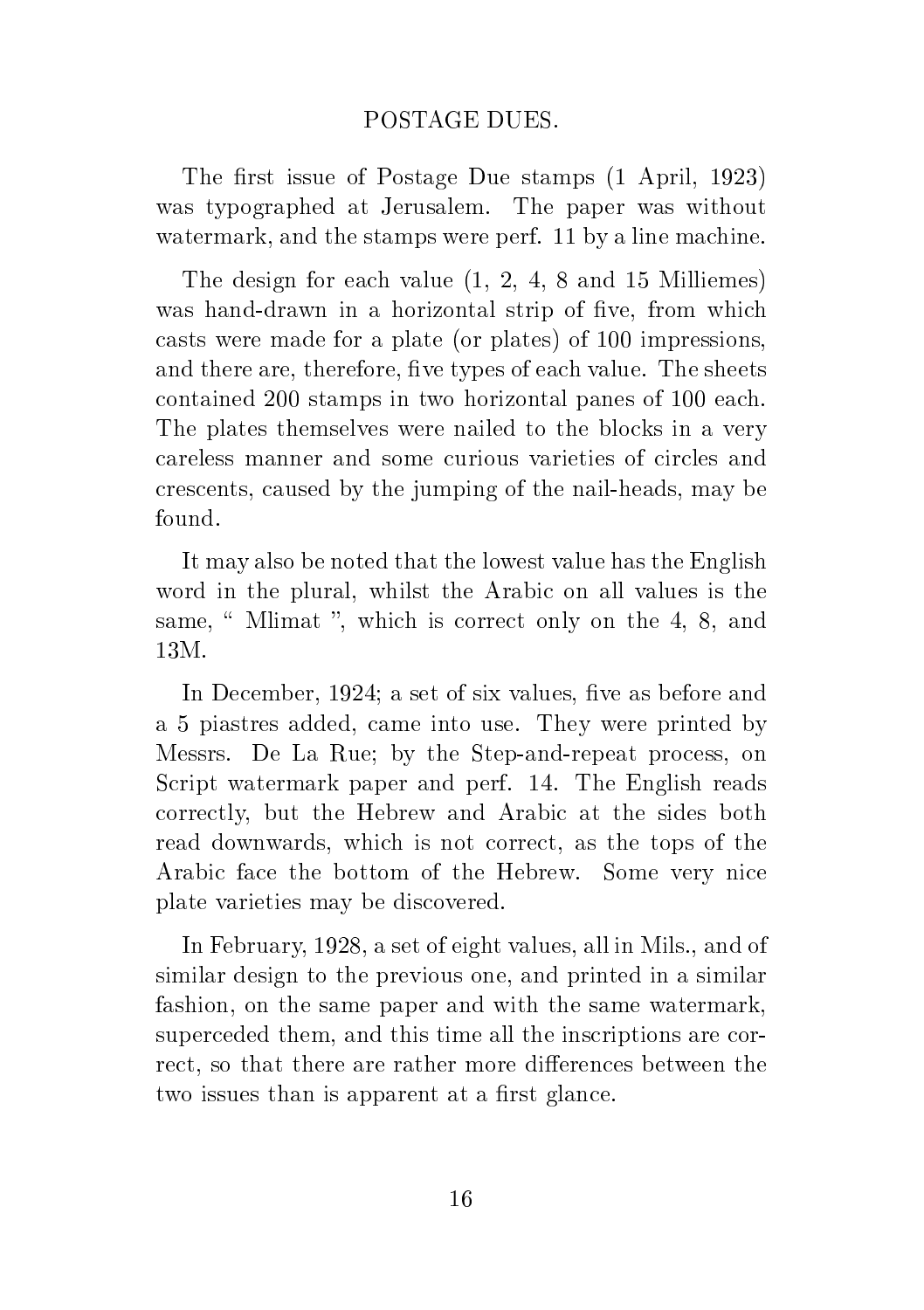#### POSTAGE DUES.

The first issue of Postage Due stamps  $(1$  April, 1923) was typographed at Jerusalem. The paper was without watermark, and the stamps were perf. 11 by a line machine.

The design for each value (1, 2, 4, 8 and 15 Milliemes) was hand-drawn in a horizontal strip of five, from which casts were made for a plate (or plates) of 100 impressions, and there are, therefore, five types of each value. The sheets contained 200 stamps in two horizontal panes of 100 each. The plates themselves were nailed to the blocks in a very careless manner and some curious varieties of circles and crescents, caused by the jumping of the nail-heads, may be found.

It may also be noted that the lowest value has the English word in the plural, whilst the Arabic on all values is the same, " Mlimat ", which is correct only on the 4, 8, and 13M.

In December, 1924; a set of six values, five as before and a 5 piastres added, came into use. They were printed by Messrs. De La Rue; by the Step-and-repeat process, on Script watermark paper and perf. 14. The English reads correctly, but the Hebrew and Arabic at the sides both read downwards, which is not correct, as the tops of the Arabic face the bottom of the Hebrew. Some very nice plate varieties may be discovered.

In February, 1928, a set of eight values, all in Mils., and of similar design to the previous one, and printed in a similar fashion, on the same paper and with the same watermark, superceded them, and this time all the inscriptions are correct, so that there are rather more differences between the two issues than is apparent at a first glance.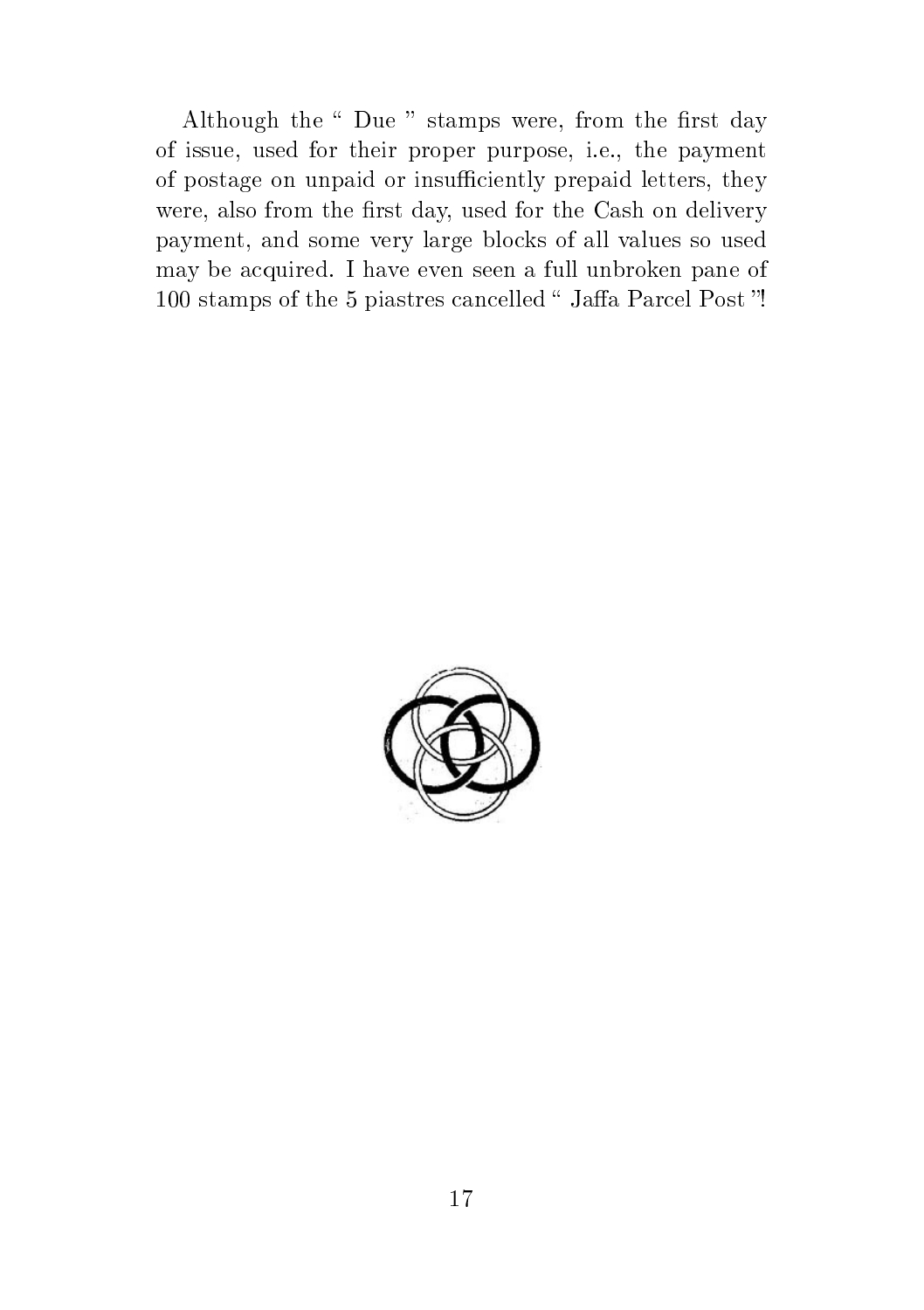Although the " Due " stamps were, from the first day of issue, used for their proper purpose, i.e., the payment of postage on unpaid or insufficiently prepaid letters, they were, also from the first day, used for the Cash on delivery payment, and some very large blocks of all values so used may be acquired. I have even seen a full unbroken pane of 100 stamps of the 5 piastres cancelled "Jaffa Parcel Post"!